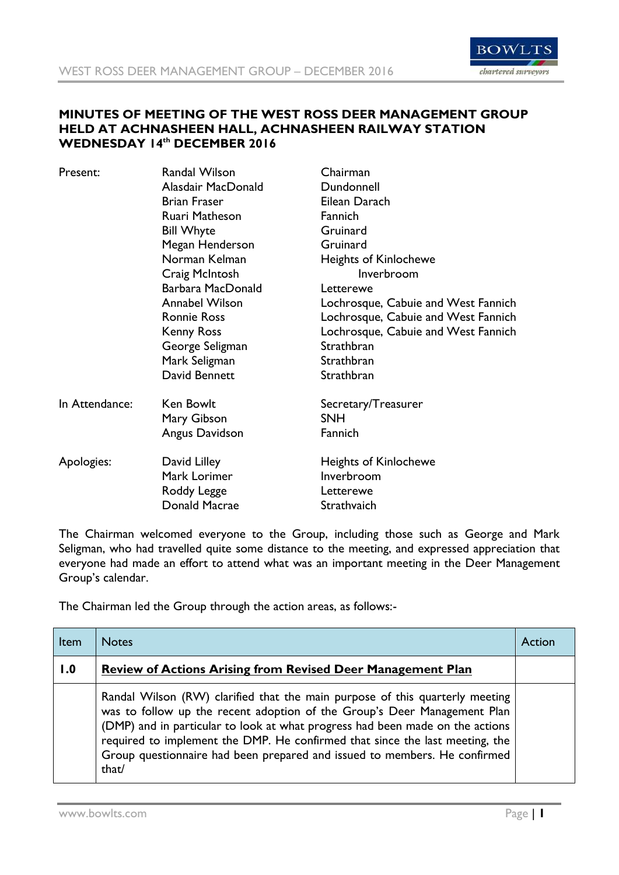

## **MINUTES OF MEETING OF THE WEST ROSS DEER MANAGEMENT GROUP HELD AT ACHNASHEEN HALL, ACHNASHEEN RAILWAY STATION WEDNESDAY 14th DECEMBER 2016**

| Present:       | Randal Wilson         | Chairman                            |
|----------------|-----------------------|-------------------------------------|
|                | Alasdair MacDonald    | Dundonnell                          |
|                | <b>Brian Fraser</b>   | Eilean Darach                       |
|                | Ruari Matheson        | Fannich                             |
|                | <b>Bill Whyte</b>     | Gruinard                            |
|                | Megan Henderson       | Gruinard                            |
|                | Norman Kelman         | <b>Heights of Kinlochewe</b>        |
|                | Craig McIntosh        | Inverbroom                          |
|                | Barbara MacDonald     | Letterewe                           |
|                | <b>Annabel Wilson</b> | Lochrosque, Cabuie and West Fannich |
|                | <b>Ronnie Ross</b>    | Lochrosque, Cabuie and West Fannich |
|                | <b>Kenny Ross</b>     | Lochrosque, Cabuie and West Fannich |
|                | George Seligman       | Strathbran                          |
|                | Mark Seligman         | Strathbran                          |
|                | David Bennett         | Strathbran                          |
| In Attendance: | Ken Bowlt             | Secretary/Treasurer                 |
|                | Mary Gibson           | <b>SNH</b>                          |
|                | Angus Davidson        | Fannich                             |
| Apologies:     | David Lilley          | <b>Heights of Kinlochewe</b>        |
|                | Mark Lorimer          | Inverbroom                          |
|                | Roddy Legge           | Letterewe                           |
|                | Donald Macrae         | Strathvaich                         |

The Chairman welcomed everyone to the Group, including those such as George and Mark Seligman, who had travelled quite some distance to the meeting, and expressed appreciation that everyone had made an effort to attend what was an important meeting in the Deer Management Group's calendar.

The Chairman led the Group through the action areas, as follows:-

| Item | <b>Notes</b>                                                                                                                                                                                                                                                                                                                                                                                                    | Action |
|------|-----------------------------------------------------------------------------------------------------------------------------------------------------------------------------------------------------------------------------------------------------------------------------------------------------------------------------------------------------------------------------------------------------------------|--------|
| 1.0  | <b>Review of Actions Arising from Revised Deer Management Plan</b>                                                                                                                                                                                                                                                                                                                                              |        |
|      | Randal Wilson (RW) clarified that the main purpose of this quarterly meeting<br>was to follow up the recent adoption of the Group's Deer Management Plan<br>(DMP) and in particular to look at what progress had been made on the actions<br>required to implement the DMP. He confirmed that since the last meeting, the<br>Group questionnaire had been prepared and issued to members. He confirmed<br>that/ |        |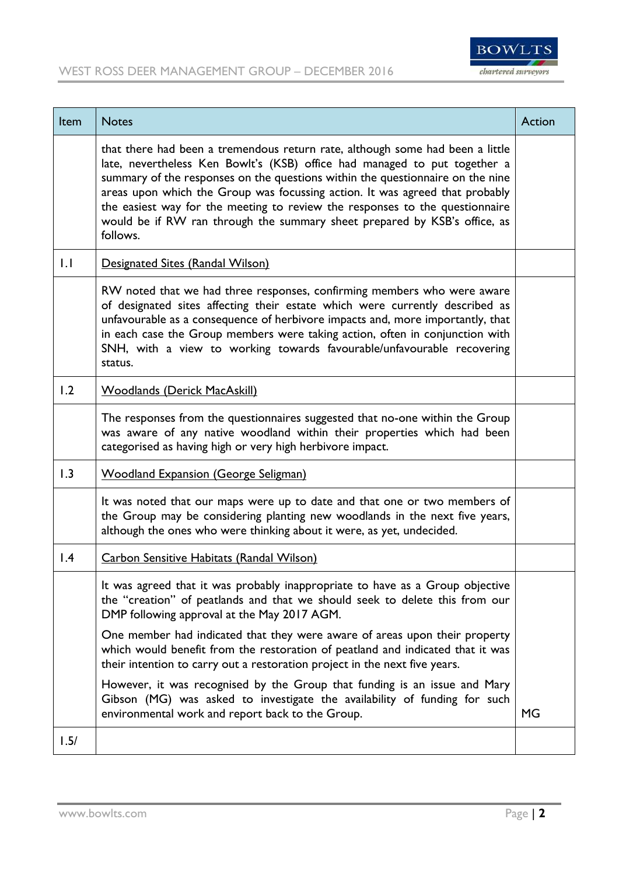

| <b>Item</b>      | <b>Notes</b>                                                                                                                                                                                                                                                                                                                                                                                                                                                                                          | Action |
|------------------|-------------------------------------------------------------------------------------------------------------------------------------------------------------------------------------------------------------------------------------------------------------------------------------------------------------------------------------------------------------------------------------------------------------------------------------------------------------------------------------------------------|--------|
|                  | that there had been a tremendous return rate, although some had been a little<br>late, nevertheless Ken Bowlt's (KSB) office had managed to put together a<br>summary of the responses on the questions within the questionnaire on the nine<br>areas upon which the Group was focussing action. It was agreed that probably<br>the easiest way for the meeting to review the responses to the questionnaire<br>would be if RW ran through the summary sheet prepared by KSB's office, as<br>follows. |        |
| $\overline{1}$ . | Designated Sites (Randal Wilson)                                                                                                                                                                                                                                                                                                                                                                                                                                                                      |        |
|                  | RW noted that we had three responses, confirming members who were aware<br>of designated sites affecting their estate which were currently described as<br>unfavourable as a consequence of herbivore impacts and, more importantly, that<br>in each case the Group members were taking action, often in conjunction with<br>SNH, with a view to working towards favourable/unfavourable recovering<br>status.                                                                                        |        |
| 1.2              | <b>Woodlands (Derick MacAskill)</b>                                                                                                                                                                                                                                                                                                                                                                                                                                                                   |        |
|                  | The responses from the questionnaires suggested that no-one within the Group<br>was aware of any native woodland within their properties which had been<br>categorised as having high or very high herbivore impact.                                                                                                                                                                                                                                                                                  |        |
| 1.3              | <b>Woodland Expansion (George Seligman)</b>                                                                                                                                                                                                                                                                                                                                                                                                                                                           |        |
|                  | It was noted that our maps were up to date and that one or two members of<br>the Group may be considering planting new woodlands in the next five years,<br>although the ones who were thinking about it were, as yet, undecided.                                                                                                                                                                                                                                                                     |        |
| $\overline{1.4}$ | <b>Carbon Sensitive Habitats (Randal Wilson)</b>                                                                                                                                                                                                                                                                                                                                                                                                                                                      |        |
|                  | It was agreed that it was probably inappropriate to have as a Group objective<br>the "creation" of peatlands and that we should seek to delete this from our<br>DMP following approval at the May 2017 AGM.<br>One member had indicated that they were aware of areas upon their property<br>which would benefit from the restoration of peatland and indicated that it was<br>their intention to carry out a restoration project in the next five years.                                             |        |
|                  | However, it was recognised by the Group that funding is an issue and Mary<br>Gibson (MG) was asked to investigate the availability of funding for such<br>environmental work and report back to the Group.                                                                                                                                                                                                                                                                                            | MG.    |
| 1.5/             |                                                                                                                                                                                                                                                                                                                                                                                                                                                                                                       |        |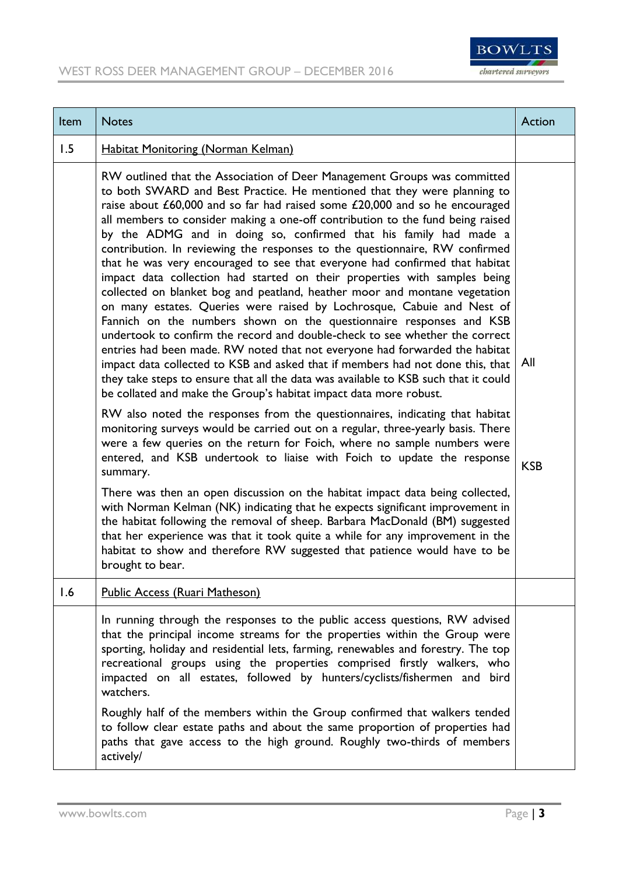

| Item | <b>Notes</b>                                                                                                                                                                                                                                                                                                                                                                                                                                                                                                                                                                                                                                                                                                                                                                                                                                                                                                                                                                                                                                                                                                                                                                                                                                                                     | Action     |
|------|----------------------------------------------------------------------------------------------------------------------------------------------------------------------------------------------------------------------------------------------------------------------------------------------------------------------------------------------------------------------------------------------------------------------------------------------------------------------------------------------------------------------------------------------------------------------------------------------------------------------------------------------------------------------------------------------------------------------------------------------------------------------------------------------------------------------------------------------------------------------------------------------------------------------------------------------------------------------------------------------------------------------------------------------------------------------------------------------------------------------------------------------------------------------------------------------------------------------------------------------------------------------------------|------------|
| 1.5  | <b>Habitat Monitoring (Norman Kelman)</b>                                                                                                                                                                                                                                                                                                                                                                                                                                                                                                                                                                                                                                                                                                                                                                                                                                                                                                                                                                                                                                                                                                                                                                                                                                        |            |
|      | RW outlined that the Association of Deer Management Groups was committed<br>to both SWARD and Best Practice. He mentioned that they were planning to<br>raise about £60,000 and so far had raised some £20,000 and so he encouraged<br>all members to consider making a one-off contribution to the fund being raised<br>by the ADMG and in doing so, confirmed that his family had made a<br>contribution. In reviewing the responses to the questionnaire, RW confirmed<br>that he was very encouraged to see that everyone had confirmed that habitat<br>impact data collection had started on their properties with samples being<br>collected on blanket bog and peatland, heather moor and montane vegetation<br>on many estates. Queries were raised by Lochrosque, Cabuie and Nest of<br>Fannich on the numbers shown on the questionnaire responses and KSB<br>undertook to confirm the record and double-check to see whether the correct<br>entries had been made. RW noted that not everyone had forwarded the habitat<br>impact data collected to KSB and asked that if members had not done this, that<br>they take steps to ensure that all the data was available to KSB such that it could<br>be collated and make the Group's habitat impact data more robust. | All        |
|      | RW also noted the responses from the questionnaires, indicating that habitat<br>monitoring surveys would be carried out on a regular, three-yearly basis. There<br>were a few queries on the return for Foich, where no sample numbers were<br>entered, and KSB undertook to liaise with Foich to update the response<br>summary.                                                                                                                                                                                                                                                                                                                                                                                                                                                                                                                                                                                                                                                                                                                                                                                                                                                                                                                                                | <b>KSB</b> |
|      | There was then an open discussion on the habitat impact data being collected,<br>with Norman Kelman (NK) indicating that he expects significant improvement in<br>the habitat following the removal of sheep. Barbara MacDonald (BM) suggested<br>that her experience was that it took quite a while for any improvement in the<br>habitat to show and therefore RW suggested that patience would have to be<br>brought to bear.                                                                                                                                                                                                                                                                                                                                                                                                                                                                                                                                                                                                                                                                                                                                                                                                                                                 |            |
| 1.6  | Public Access (Ruari Matheson)                                                                                                                                                                                                                                                                                                                                                                                                                                                                                                                                                                                                                                                                                                                                                                                                                                                                                                                                                                                                                                                                                                                                                                                                                                                   |            |
|      | In running through the responses to the public access questions, RW advised<br>that the principal income streams for the properties within the Group were<br>sporting, holiday and residential lets, farming, renewables and forestry. The top<br>recreational groups using the properties comprised firstly walkers, who<br>impacted on all estates, followed by hunters/cyclists/fishermen and bird<br>watchers.<br>Roughly half of the members within the Group confirmed that walkers tended                                                                                                                                                                                                                                                                                                                                                                                                                                                                                                                                                                                                                                                                                                                                                                                 |            |
|      | to follow clear estate paths and about the same proportion of properties had<br>paths that gave access to the high ground. Roughly two-thirds of members<br>actively/                                                                                                                                                                                                                                                                                                                                                                                                                                                                                                                                                                                                                                                                                                                                                                                                                                                                                                                                                                                                                                                                                                            |            |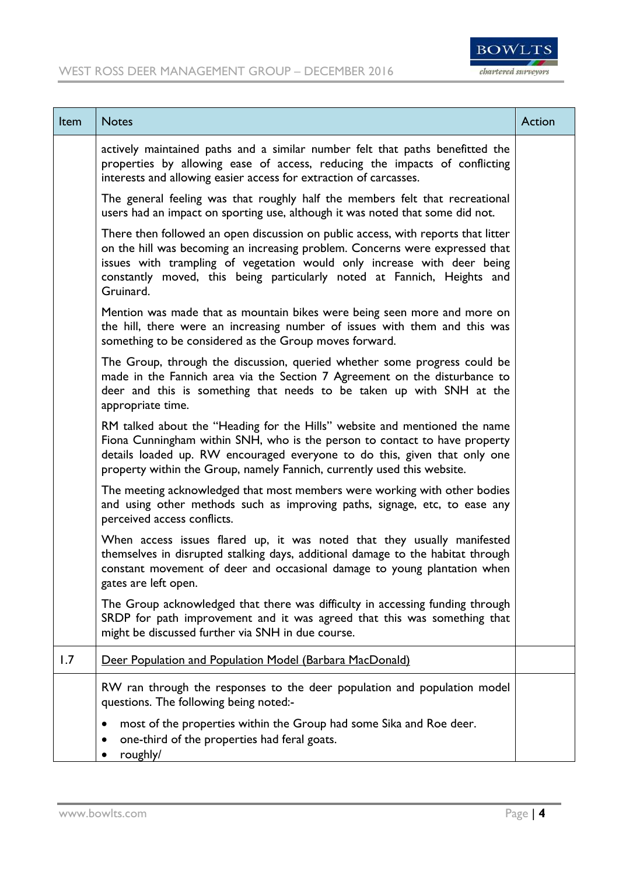

| Item | <b>Notes</b>                                                                                                                                                                                                                                                                                                                         | Action |
|------|--------------------------------------------------------------------------------------------------------------------------------------------------------------------------------------------------------------------------------------------------------------------------------------------------------------------------------------|--------|
|      | actively maintained paths and a similar number felt that paths benefitted the<br>properties by allowing ease of access, reducing the impacts of conflicting<br>interests and allowing easier access for extraction of carcasses.                                                                                                     |        |
|      | The general feeling was that roughly half the members felt that recreational<br>users had an impact on sporting use, although it was noted that some did not.                                                                                                                                                                        |        |
|      | There then followed an open discussion on public access, with reports that litter<br>on the hill was becoming an increasing problem. Concerns were expressed that<br>issues with trampling of vegetation would only increase with deer being<br>constantly moved, this being particularly noted at Fannich, Heights and<br>Gruinard. |        |
|      | Mention was made that as mountain bikes were being seen more and more on<br>the hill, there were an increasing number of issues with them and this was<br>something to be considered as the Group moves forward.                                                                                                                     |        |
|      | The Group, through the discussion, queried whether some progress could be<br>made in the Fannich area via the Section 7 Agreement on the disturbance to<br>deer and this is something that needs to be taken up with SNH at the<br>appropriate time.                                                                                 |        |
|      | RM talked about the "Heading for the Hills" website and mentioned the name<br>Fiona Cunningham within SNH, who is the person to contact to have property<br>details loaded up. RW encouraged everyone to do this, given that only one<br>property within the Group, namely Fannich, currently used this website.                     |        |
|      | The meeting acknowledged that most members were working with other bodies<br>and using other methods such as improving paths, signage, etc, to ease any<br>perceived access conflicts.                                                                                                                                               |        |
|      | When access issues flared up, it was noted that they usually manifested<br>themselves in disrupted stalking days, additional damage to the habitat through<br>constant movement of deer and occasional damage to young plantation when<br>gates are left open.                                                                       |        |
|      | The Group acknowledged that there was difficulty in accessing funding through<br>SRDP for path improvement and it was agreed that this was something that<br>might be discussed further via SNH in due course.                                                                                                                       |        |
| 1.7  | Deer Population and Population Model (Barbara MacDonald)                                                                                                                                                                                                                                                                             |        |
|      | RW ran through the responses to the deer population and population model<br>questions. The following being noted:-                                                                                                                                                                                                                   |        |
|      | most of the properties within the Group had some Sika and Roe deer.<br>one-third of the properties had feral goats.<br>roughly/                                                                                                                                                                                                      |        |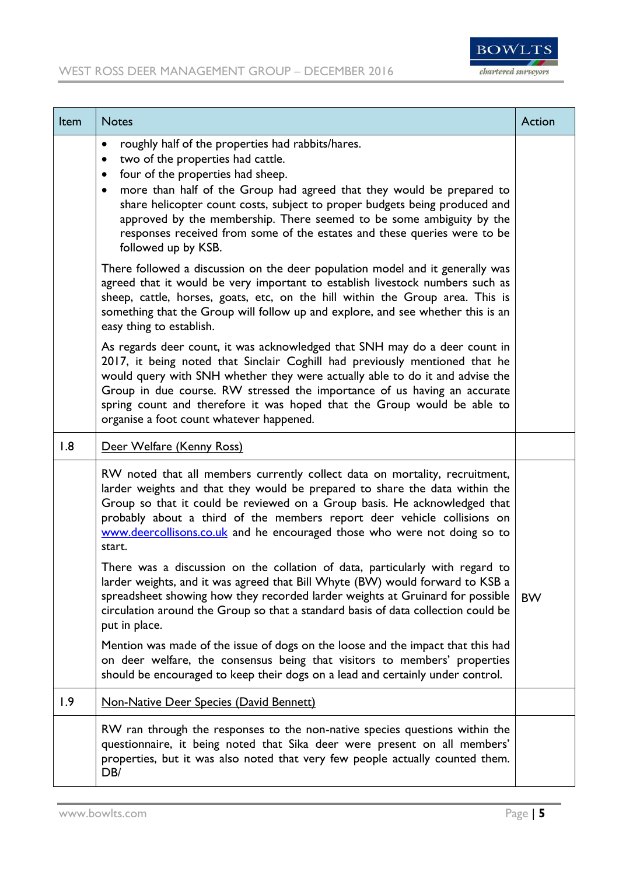

| Item | <b>Notes</b>                                                                                                                                                                                                                                                                                                                                                                                                                                                                                                      | <b>Action</b> |
|------|-------------------------------------------------------------------------------------------------------------------------------------------------------------------------------------------------------------------------------------------------------------------------------------------------------------------------------------------------------------------------------------------------------------------------------------------------------------------------------------------------------------------|---------------|
|      | roughly half of the properties had rabbits/hares.<br>$\bullet$<br>two of the properties had cattle.<br>$\bullet$<br>four of the properties had sheep.<br>$\bullet$<br>more than half of the Group had agreed that they would be prepared to<br>$\bullet$<br>share helicopter count costs, subject to proper budgets being produced and<br>approved by the membership. There seemed to be some ambiguity by the<br>responses received from some of the estates and these queries were to be<br>followed up by KSB. |               |
|      | There followed a discussion on the deer population model and it generally was<br>agreed that it would be very important to establish livestock numbers such as<br>sheep, cattle, horses, goats, etc, on the hill within the Group area. This is<br>something that the Group will follow up and explore, and see whether this is an<br>easy thing to establish.                                                                                                                                                    |               |
|      | As regards deer count, it was acknowledged that SNH may do a deer count in<br>2017, it being noted that Sinclair Coghill had previously mentioned that he<br>would query with SNH whether they were actually able to do it and advise the<br>Group in due course. RW stressed the importance of us having an accurate<br>spring count and therefore it was hoped that the Group would be able to<br>organise a foot count whatever happened.                                                                      |               |
| 1.8  | Deer Welfare (Kenny Ross)                                                                                                                                                                                                                                                                                                                                                                                                                                                                                         |               |
|      | RW noted that all members currently collect data on mortality, recruitment,<br>larder weights and that they would be prepared to share the data within the<br>Group so that it could be reviewed on a Group basis. He acknowledged that<br>probably about a third of the members report deer vehicle collisions on<br>www.deercollisons.co.uk and he encouraged those who were not doing so to<br>start.                                                                                                          |               |
|      | There was a discussion on the collation of data, particularly with regard to<br>larder weights, and it was agreed that Bill Whyte (BW) would forward to KSB a<br>spreadsheet showing how they recorded larder weights at Gruinard for possible<br>circulation around the Group so that a standard basis of data collection could be<br>put in place.                                                                                                                                                              | <b>BW</b>     |
|      | Mention was made of the issue of dogs on the loose and the impact that this had<br>on deer welfare, the consensus being that visitors to members' properties<br>should be encouraged to keep their dogs on a lead and certainly under control.                                                                                                                                                                                                                                                                    |               |
| 1.9  | Non-Native Deer Species (David Bennett)                                                                                                                                                                                                                                                                                                                                                                                                                                                                           |               |
|      | RW ran through the responses to the non-native species questions within the<br>questionnaire, it being noted that Sika deer were present on all members'<br>properties, but it was also noted that very few people actually counted them.<br>DB/                                                                                                                                                                                                                                                                  |               |

÷